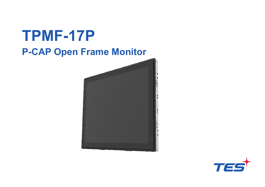

![](_page_0_Picture_1.jpeg)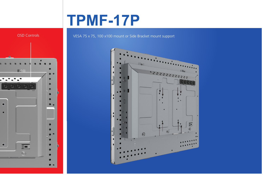# **TPMF-17P**

![](_page_1_Figure_1.jpeg)

#### OSD Controls VESA 75 x 75, 100 x100 mount or Side Bracket mount support

![](_page_1_Figure_3.jpeg)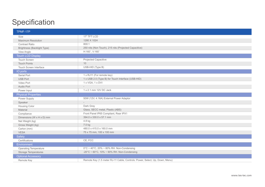## **Specification**

| TPMF-17P                           |                                                                             |
|------------------------------------|-----------------------------------------------------------------------------|
| Size                               | 17" TFT LCD                                                                 |
| <b>Maximum Resolution</b>          | 1280 X 1024                                                                 |
| <b>Contrast Ratio</b>              | 800:1                                                                       |
| <b>Brightness (Backlight Type)</b> | 250 nits (Non Touch), 215 nits (Projected Capacitive)                       |
| View Angle                         | H:160°, V:160°                                                              |
| <b>Touch LCD Display</b>           |                                                                             |
| <b>Touch Screen</b>                | <b>Projected Capacitive</b>                                                 |
| <b>Touch Points</b>                | 10                                                                          |
| <b>Touch Screen Interface</b>      | USB-HID (Type B)                                                            |
| IO ports                           |                                                                             |
| <b>Serial Port</b>                 | 1 x RJ11 (For remote key)                                                   |
| <b>USB Port</b>                    | 1 x USB 2.0 (Type B) for Touch Interface (USB-HID)                          |
| Video Port                         | 1 x VGA, 1 x DVI                                                            |
| Audio Port                         | $\overline{\phantom{a}}$                                                    |
| Power Input                        | 1 x 2.1 mm 12V DC Jack                                                      |
| <b>Physical Properties</b>         |                                                                             |
| Power Supply                       | 50W (12V, 4.16A) External Power Adaptor                                     |
| Speaker                            |                                                                             |
| Housing Color                      | Dark Gray                                                                   |
| Material                           | Glass, SECC metal, Plastic (ABS)                                            |
| Compliance                         | Front Panel IP65 Compliant, Rear IPX1                                       |
| Dimensions (W x H x D) mm          | 394.0 x 330.0 x 57.1 mm                                                     |
| Net Weight (kg)                    | 4.8 kg                                                                      |
| Gross Weight (kg)                  | 7.0 kg                                                                      |
| Carton (mm)                        | 480.0 x 415.0 x 160.0 mm                                                    |
| <b>VESA</b>                        | 75 x 75 mm, 100 x 100 mm                                                    |
| Safety                             |                                                                             |
| Certifications                     | CE, FCC                                                                     |
| Environment                        |                                                                             |
| <b>Operating Temperature</b>       | $0^{\circ}$ C ~ 40°C, 20% ~ 80% RH. Non-Condensing                          |
| Storage Temperatures               | -20°C ~ 60°C, 10% ~ 90% RH. Non-Condensing                                  |
| <b>Optional Accessory</b>          |                                                                             |
| Remote Key                         | Remote Key (1.5 meter RJ-11 Cable, Controls: Power, Select, Up, Down, Menu) |